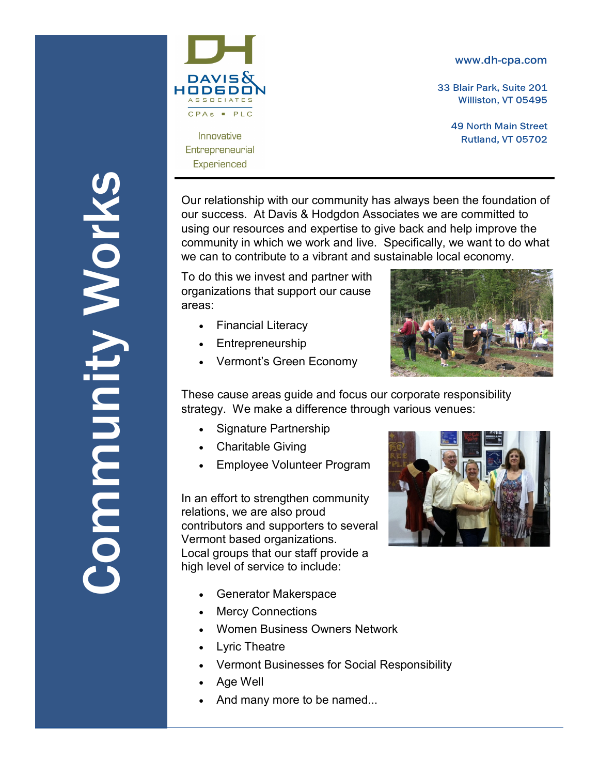#### www.dh-cpa.com

33 Blair Park, Suite 201 Williston, VT 05495

> **49 North Main Street** Rutland, VT 05702

Our relationship with our community has always been the foundation of our success. At Davis & Hodgdon Associates we are committed to using our resources and expertise to give back and help improve the community in which we work and live. Specifically, we want to do what we can to contribute to a vibrant and sustainable local economy.

To do this we invest and partner with organizations that support our cause areas:

Financial Literacy

 $PLC$ 

Innovative

Entrepreneurial Experienced

- Entrepreneurship
- Vermont's Green Economy



These cause areas guide and focus our corporate responsibility strategy. We make a difference through various venues:

- Signature Partnership
- Charitable Giving
- Employee Volunteer Program

In an effort to strengthen community relations, we are also proud contributors and supporters to several Vermont based organizations. Local groups that our staff provide a high level of service to include:



- Generator Makerspace
- Mercy Connections
- Women Business Owners Network
- Lyric Theatre
- Vermont Businesses for Social Responsibility
- Age Well
- And many more to be named...